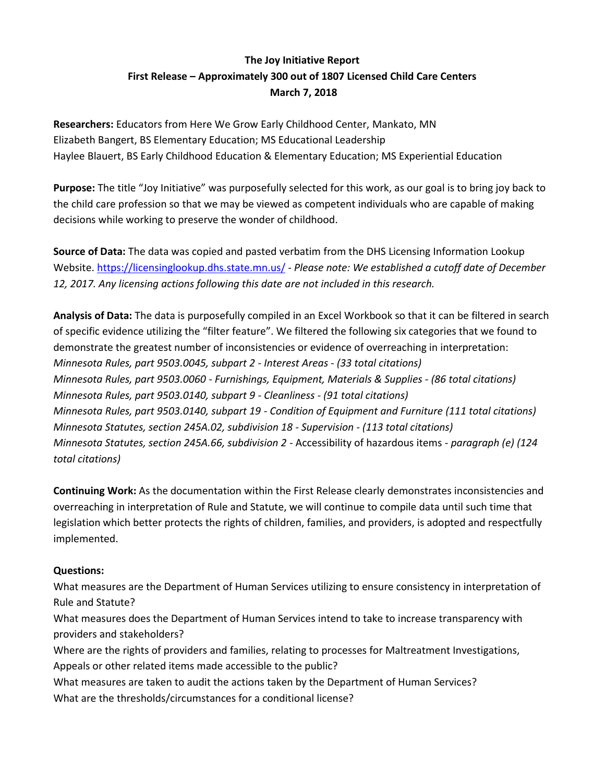## **The Joy Initiative Report First Release – Approximately 300 out of 1807 Licensed Child Care Centers March 7, 2018**

**Researchers:** Educators from Here We Grow Early Childhood Center, Mankato, MN Elizabeth Bangert, BS Elementary Education; MS Educational Leadership Haylee Blauert, BS Early Childhood Education & Elementary Education; MS Experiential Education

**Purpose:** The title "Joy Initiative" was purposefully selected for this work, as our goal is to bring joy back to the child care profession so that we may be viewed as competent individuals who are capable of making decisions while working to preserve the wonder of childhood.

**Source of Data:** The data was copied and pasted verbatim from the DHS Licensing Information Lookup Website.<https://licensinglookup.dhs.state.mn.us/> - *Please note: We established a cutoff date of December 12, 2017. Any licensing actions following this date are not included in this research.*

**Analysis of Data:** The data is purposefully compiled in an Excel Workbook so that it can be filtered in search of specific evidence utilizing the "filter feature". We filtered the following six categories that we found to demonstrate the greatest number of inconsistencies or evidence of overreaching in interpretation: *Minnesota Rules, part 9503.0045, subpart 2 - Interest Areas - (33 total citations) Minnesota Rules, part 9503.0060 - Furnishings, Equipment, Materials & Supplies - (86 total citations) Minnesota Rules, part 9503.0140, subpart 9 - Cleanliness - (91 total citations) Minnesota Rules, part 9503.0140, subpart 19 - Condition of Equipment and Furniture (111 total citations) Minnesota Statutes, section 245A.02, subdivision 18 - Supervision - (113 total citations) Minnesota Statutes, section 245A.66, subdivision 2 -* Accessibility of hazardous items - *paragraph (e) (124 total citations)*

**Continuing Work:** As the documentation within the First Release clearly demonstrates inconsistencies and overreaching in interpretation of Rule and Statute, we will continue to compile data until such time that legislation which better protects the rights of children, families, and providers, is adopted and respectfully implemented.

## **Questions:**

What measures are the Department of Human Services utilizing to ensure consistency in interpretation of Rule and Statute?

What measures does the Department of Human Services intend to take to increase transparency with providers and stakeholders?

Where are the rights of providers and families, relating to processes for Maltreatment Investigations, Appeals or other related items made accessible to the public?

What measures are taken to audit the actions taken by the Department of Human Services? What are the thresholds/circumstances for a conditional license?